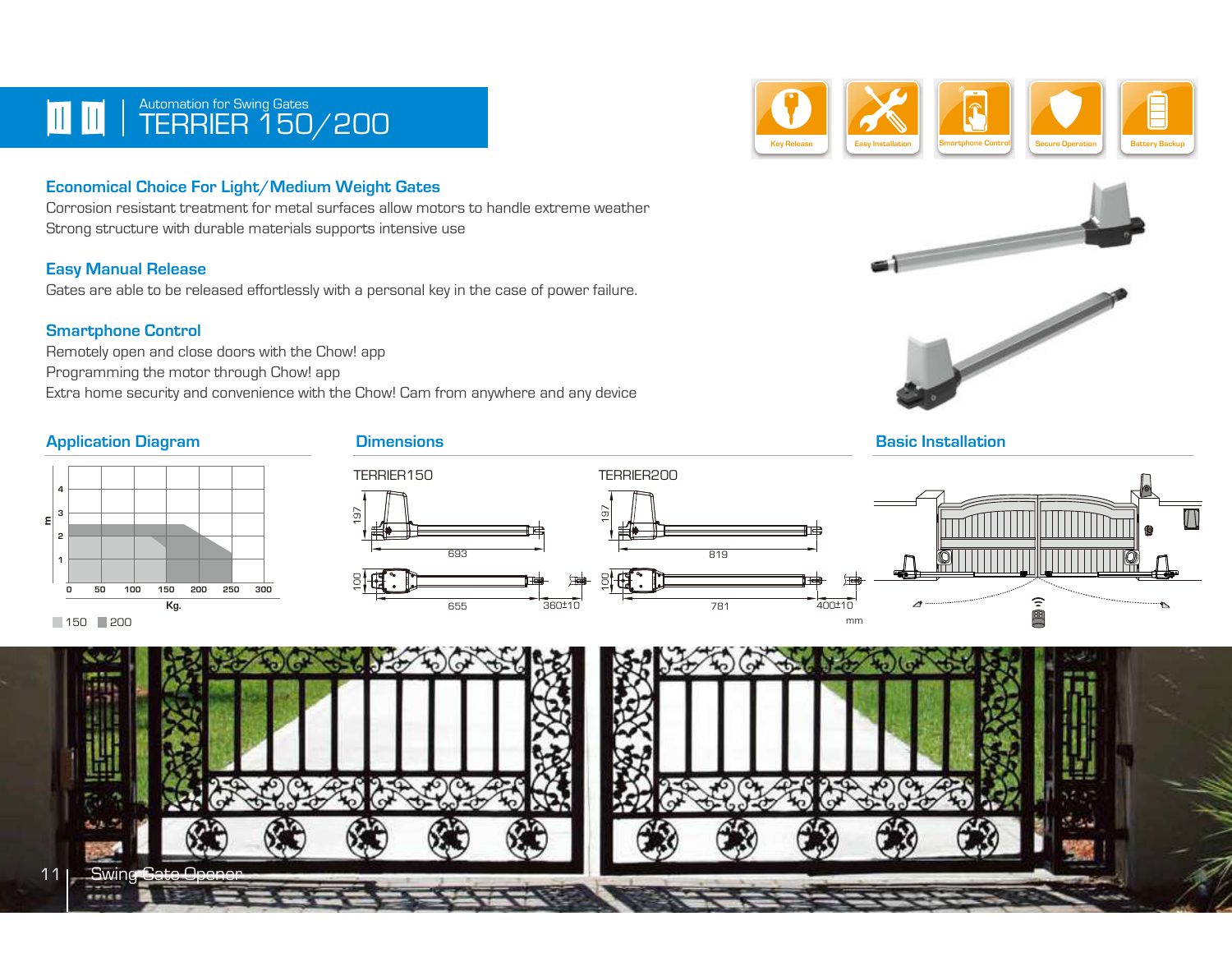## TERRIER 150/200 **Automation for Swing Gates**

### Economical Choice For Light/Medium Weight Gates

Corrosion resistant treatment for metal surfaces allow motors to handle extreme weather Strong structure with durable materials supports intensive use

#### Easy Manual Release

Gates are able to be released effortlessly with a personal key in the case of power failure.

#### Smartphone Control

Remotely open and close doors with the Chow! app Programming the motor through Chow! app Extra home security and convenience with the Chow! Cam from anywhere and any device

## Application Diagram **Dimensions**







 $\log_{11}$ 











11 Swing Gate

**KINGS** 





mm